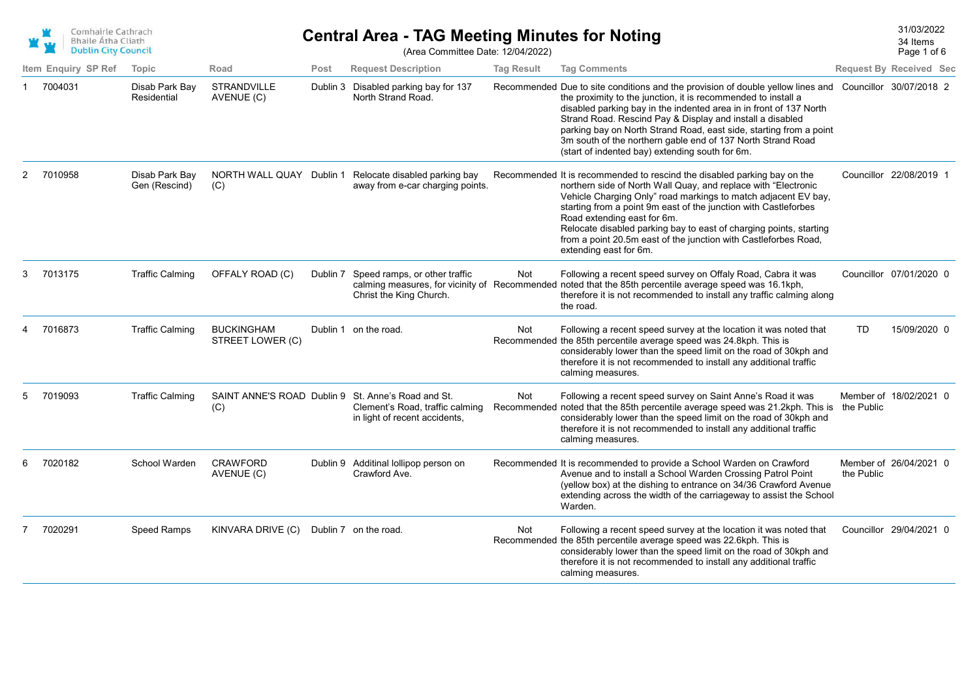|   | Comhairle Cathrach<br><b>Bhaile Átha Cliath</b><br><b>Dublin City Council</b> |                                 |                                       |      | <b>Central Area - TAG Meeting Minutes for Noting</b><br>(Area Committee Date: 12/04/2022)                              |                   |                                                                                                                                                                                                                                                                                                                                                                                                                                                                                                     |            | 31/03/2022<br>34 Items<br>Page 1 of 6 |  |
|---|-------------------------------------------------------------------------------|---------------------------------|---------------------------------------|------|------------------------------------------------------------------------------------------------------------------------|-------------------|-----------------------------------------------------------------------------------------------------------------------------------------------------------------------------------------------------------------------------------------------------------------------------------------------------------------------------------------------------------------------------------------------------------------------------------------------------------------------------------------------------|------------|---------------------------------------|--|
|   | Item Enquiry SP Ref                                                           | Topic                           | Road                                  | Post | <b>Request Description</b>                                                                                             | <b>Tag Result</b> | <b>Tag Comments</b>                                                                                                                                                                                                                                                                                                                                                                                                                                                                                 |            | <b>Request By Received Sec</b>        |  |
| 1 | 7004031                                                                       | Disab Park Bay<br>Residential   | <b>STRANDVILLE</b><br>AVENUE (C)      |      | Dublin 3 Disabled parking bay for 137<br>North Strand Road.                                                            |                   | Recommended Due to site conditions and the provision of double yellow lines and Councillor 30/07/2018 2<br>the proximity to the junction, it is recommended to install a<br>disabled parking bay in the indented area in in front of 137 North<br>Strand Road. Rescind Pay & Display and install a disabled<br>parking bay on North Strand Road, east side, starting from a point<br>3m south of the northern gable end of 137 North Strand Road<br>(start of indented bay) extending south for 6m. |            |                                       |  |
| 2 | 7010958                                                                       | Disab Park Bay<br>Gen (Rescind) | (C)                                   |      | NORTH WALL QUAY Dublin 1 Relocate disabled parking bay<br>away from e-car charging points.                             |                   | Recommended It is recommended to rescind the disabled parking bay on the<br>northern side of North Wall Quay, and replace with "Electronic<br>Vehicle Charging Only" road markings to match adjacent EV bay,<br>starting from a point 9m east of the junction with Castleforbes<br>Road extending east for 6m.<br>Relocate disabled parking bay to east of charging points, starting<br>from a point 20.5m east of the junction with Castleforbes Road,<br>extending east for 6m.                   |            | Councillor 22/08/2019 1               |  |
| 3 | 7013175                                                                       | <b>Traffic Calming</b>          | OFFALY ROAD (C)                       |      | Dublin 7 Speed ramps, or other traffic<br>Christ the King Church.                                                      | Not               | Following a recent speed survey on Offaly Road, Cabra it was<br>calming measures, for vicinity of Recommended noted that the 85th percentile average speed was 16.1kph,<br>therefore it is not recommended to install any traffic calming along<br>the road.                                                                                                                                                                                                                                        |            | Councillor 07/01/2020 0               |  |
| 4 | 7016873                                                                       | <b>Traffic Calming</b>          | <b>BUCKINGHAM</b><br>STREET LOWER (C) |      | Dublin 1 on the road.                                                                                                  | Not               | Following a recent speed survey at the location it was noted that<br>Recommended the 85th percentile average speed was 24.8kph. This is<br>considerably lower than the speed limit on the road of 30kph and<br>therefore it is not recommended to install any additional traffic<br>calming measures.                                                                                                                                                                                               | <b>TD</b>  | 15/09/2020 0                          |  |
| 5 | 7019093                                                                       | <b>Traffic Calming</b>          | (C)                                   |      | SAINT ANNE'S ROAD Dublin 9 St. Anne's Road and St.<br>Clement's Road, traffic calming<br>in light of recent accidents, | Not               | Following a recent speed survey on Saint Anne's Road it was<br>Recommended noted that the 85th percentile average speed was 21.2kph. This is<br>considerably lower than the speed limit on the road of 30kph and<br>therefore it is not recommended to install any additional traffic<br>calming measures.                                                                                                                                                                                          | the Public | Member of 18/02/2021 0                |  |
| 6 | 7020182                                                                       | School Warden                   | <b>CRAWFORD</b><br>AVENUE (C)         |      | Dublin 9 Additinal lollipop person on<br>Crawford Ave.                                                                 |                   | Recommended It is recommended to provide a School Warden on Crawford<br>Avenue and to install a School Warden Crossing Patrol Point<br>(yellow box) at the dishing to entrance on 34/36 Crawford Avenue<br>extending across the width of the carriageway to assist the School<br>Warden.                                                                                                                                                                                                            | the Public | Member of 26/04/2021 0                |  |
|   | 7020291                                                                       | <b>Speed Ramps</b>              | KINVARA DRIVE (C)                     |      | Dublin 7 on the road.                                                                                                  | <b>Not</b>        | Following a recent speed survey at the location it was noted that<br>Recommended the 85th percentile average speed was 22.6kph. This is<br>considerably lower than the speed limit on the road of 30kph and<br>therefore it is not recommended to install any additional traffic<br>calming measures.                                                                                                                                                                                               |            | Councillor 29/04/2021 0               |  |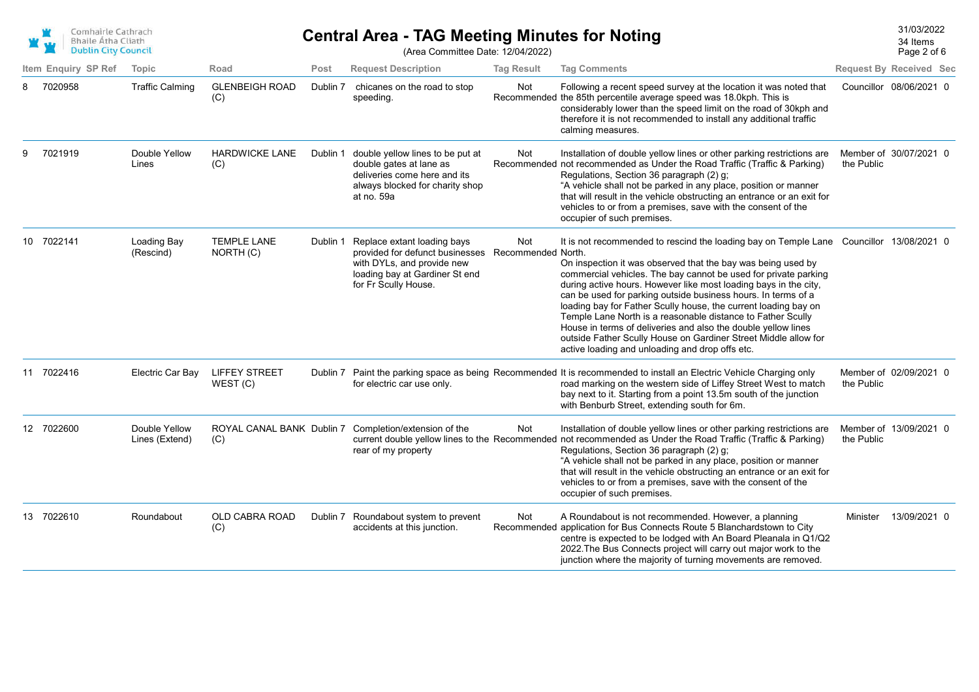| Comhairle Cathrach<br><b>Bhaile Átha Cliath</b> |
|-------------------------------------------------|
| <b>Dublin City Council</b>                      |

## 31/03/2022 **Central Area - TAG Meeting Minutes for Noting**

Page 2 of 6 34 Items

| <b>Dublin City Council</b> |                                 |                                  |          | (Area Committee Date: 12/04/2022)                                                                                                                                         |                   |                                                                                                                                                                                                                                                                                                                                                                                                                                                                                                                                                                                                                                                                                          |            | Page 2 of 6                    |
|----------------------------|---------------------------------|----------------------------------|----------|---------------------------------------------------------------------------------------------------------------------------------------------------------------------------|-------------------|------------------------------------------------------------------------------------------------------------------------------------------------------------------------------------------------------------------------------------------------------------------------------------------------------------------------------------------------------------------------------------------------------------------------------------------------------------------------------------------------------------------------------------------------------------------------------------------------------------------------------------------------------------------------------------------|------------|--------------------------------|
| Item Enquiry SP Ref        | Topic                           | Road                             | Post     | <b>Request Description</b>                                                                                                                                                | <b>Tag Result</b> | <b>Tag Comments</b>                                                                                                                                                                                                                                                                                                                                                                                                                                                                                                                                                                                                                                                                      |            | <b>Request By Received Sec</b> |
| 7020958                    | <b>Traffic Calming</b>          | <b>GLENBEIGH ROAD</b><br>(C)     | Dublin 7 | chicanes on the road to stop<br>speeding.                                                                                                                                 | Not               | Following a recent speed survey at the location it was noted that<br>Recommended the 85th percentile average speed was 18.0kph. This is<br>considerably lower than the speed limit on the road of 30kph and<br>therefore it is not recommended to install any additional traffic<br>calming measures.                                                                                                                                                                                                                                                                                                                                                                                    |            | Councillor 08/06/2021 0        |
| 7021919                    | Double Yellow<br>Lines          | <b>HARDWICKE LANE</b><br>(C)     | Dublin 1 | double yellow lines to be put at<br>double gates at lane as<br>deliveries come here and its<br>always blocked for charity shop<br>at no. 59a                              | Not               | Installation of double yellow lines or other parking restrictions are<br>Recommended not recommended as Under the Road Traffic (Traffic & Parking)<br>Regulations, Section 36 paragraph (2) g;<br>"A vehicle shall not be parked in any place, position or manner<br>that will result in the vehicle obstructing an entrance or an exit for<br>vehicles to or from a premises, save with the consent of the<br>occupier of such premises.                                                                                                                                                                                                                                                | the Public | Member of 30/07/2021 0         |
| 10 7022141                 | Loading Bay<br>(Rescind)        | <b>TEMPLE LANE</b><br>NORTH (C)  | Dublin 1 | Replace extant loading bays<br>provided for defunct businesses Recommended North.<br>with DYLs, and provide new<br>loading bay at Gardiner St end<br>for Fr Scully House. | Not               | It is not recommended to rescind the loading bay on Temple Lane Councillor 13/08/2021 0<br>On inspection it was observed that the bay was being used by<br>commercial vehicles. The bay cannot be used for private parking<br>during active hours. However like most loading bays in the city,<br>can be used for parking outside business hours. In terms of a<br>loading bay for Father Scully house, the current loading bay on<br>Temple Lane North is a reasonable distance to Father Scully<br>House in terms of deliveries and also the double yellow lines<br>outside Father Scully House on Gardiner Street Middle allow for<br>active loading and unloading and drop offs etc. |            |                                |
| 11 7022416                 | Electric Car Bay                | <b>LIFFEY STREET</b><br>WEST(C)  |          | for electric car use only.                                                                                                                                                |                   | Dublin 7 Paint the parking space as being Recommended It is recommended to install an Electric Vehicle Charging only<br>road marking on the western side of Liffey Street West to match<br>bay next to it. Starting from a point 13.5m south of the junction<br>with Benburb Street, extending south for 6m.                                                                                                                                                                                                                                                                                                                                                                             | the Public | Member of 02/09/2021 0         |
| 12 7022600                 | Double Yellow<br>Lines (Extend) | ROYAL CANAL BANK Dublin 7<br>(C) |          | Completion/extension of the<br>rear of my property                                                                                                                        | Not               | Installation of double yellow lines or other parking restrictions are<br>current double yellow lines to the Recommended not recommended as Under the Road Traffic (Traffic & Parking)<br>Regulations, Section 36 paragraph (2) g;<br>"A vehicle shall not be parked in any place, position or manner<br>that will result in the vehicle obstructing an entrance or an exit for<br>vehicles to or from a premises, save with the consent of the<br>occupier of such premises.                                                                                                                                                                                                             | the Public | Member of 13/09/2021 0         |
| 13 7022610                 | Roundabout                      | OLD CABRA ROAD<br>(C)            | Dublin 7 | Roundabout system to prevent<br>accidents at this junction.                                                                                                               | Not               | A Roundabout is not recommended. However, a planning<br>Recommended application for Bus Connects Route 5 Blanchardstown to City<br>centre is expected to be lodged with An Board Pleanala in Q1/Q2<br>2022. The Bus Connects project will carry out major work to the<br>junction where the majority of turning movements are removed.                                                                                                                                                                                                                                                                                                                                                   | Minister   | 13/09/2021 0                   |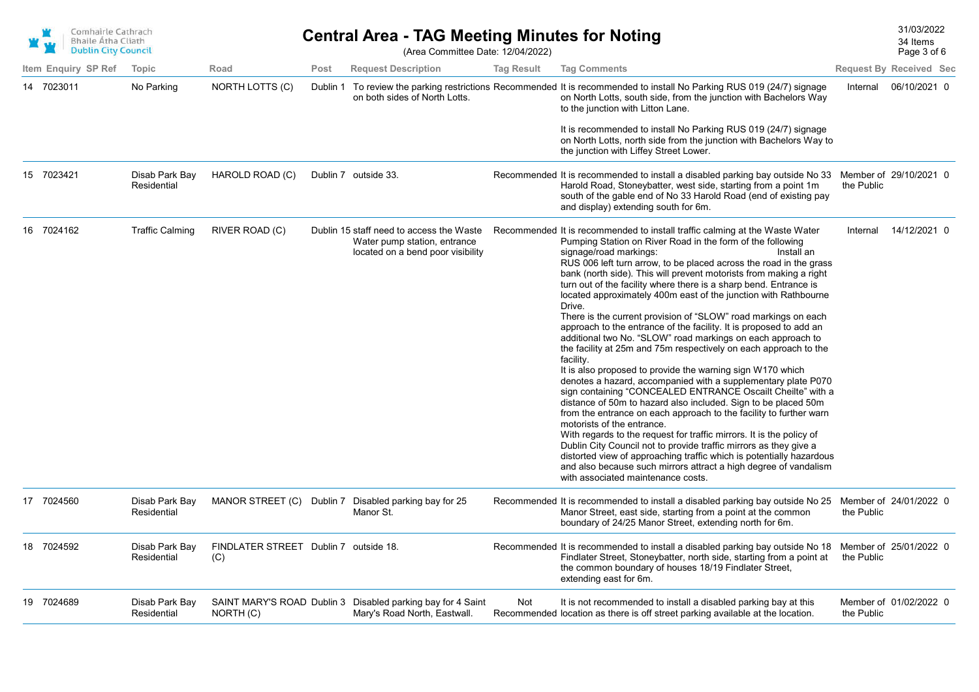| Comhairle Cathrach         |
|----------------------------|
| <b>Bhaile Atha Cliath</b>  |
| <b>Dublin City Council</b> |

## **Central Area - TAG Meeting Minutes for Noting Central Area - TAG Meeting Minutes for Noting** (Area Committee Date: 12/04/2022)

Page 3 of 6 34 Items

|                     |                               |                                              |          |                                                                                                               |                   |                                                                                                                                                                                                                                                                                                                                                                                                                                                                                                                                                                                                                                                                                                                                                                                                                                                                                                                                                                                                                                                                                                                                                                                                                                                                                                                                                                                                                                                                            |            | $1$ agu u ur u                 |
|---------------------|-------------------------------|----------------------------------------------|----------|---------------------------------------------------------------------------------------------------------------|-------------------|----------------------------------------------------------------------------------------------------------------------------------------------------------------------------------------------------------------------------------------------------------------------------------------------------------------------------------------------------------------------------------------------------------------------------------------------------------------------------------------------------------------------------------------------------------------------------------------------------------------------------------------------------------------------------------------------------------------------------------------------------------------------------------------------------------------------------------------------------------------------------------------------------------------------------------------------------------------------------------------------------------------------------------------------------------------------------------------------------------------------------------------------------------------------------------------------------------------------------------------------------------------------------------------------------------------------------------------------------------------------------------------------------------------------------------------------------------------------------|------------|--------------------------------|
| Item Enguiry SP Ref | Topic                         | Road                                         | Post     | <b>Request Description</b>                                                                                    | <b>Tag Result</b> | <b>Tag Comments</b>                                                                                                                                                                                                                                                                                                                                                                                                                                                                                                                                                                                                                                                                                                                                                                                                                                                                                                                                                                                                                                                                                                                                                                                                                                                                                                                                                                                                                                                        |            | <b>Request By Received Sec</b> |
| 14 7023011          | No Parking                    | NORTH LOTTS (C)                              | Dublin 1 | on both sides of North Lotts.                                                                                 |                   | To review the parking restrictions Recommended It is recommended to install No Parking RUS 019 (24/7) signage<br>on North Lotts, south side, from the junction with Bachelors Way<br>to the junction with Litton Lane.<br>It is recommended to install No Parking RUS 019 (24/7) signage<br>on North Lotts, north side from the junction with Bachelors Way to<br>the junction with Liffey Street Lower.                                                                                                                                                                                                                                                                                                                                                                                                                                                                                                                                                                                                                                                                                                                                                                                                                                                                                                                                                                                                                                                                   | Internal   | 06/10/2021 0                   |
| 15 7023421          | Disab Park Bay<br>Residential | HAROLD ROAD (C)                              |          | Dublin 7 outside 33.                                                                                          |                   | Recommended It is recommended to install a disabled parking bay outside No 33 Member of 29/10/2021 0<br>Harold Road, Stoneybatter, west side, starting from a point 1m<br>south of the gable end of No 33 Harold Road (end of existing pay<br>and display) extending south for 6m.                                                                                                                                                                                                                                                                                                                                                                                                                                                                                                                                                                                                                                                                                                                                                                                                                                                                                                                                                                                                                                                                                                                                                                                         | the Public |                                |
| 16 7024162          | <b>Traffic Calming</b>        | RIVER ROAD (C)                               |          | Dublin 15 staff need to access the Waste<br>Water pump station, entrance<br>located on a bend poor visibility |                   | Recommended It is recommended to install traffic calming at the Waste Water<br>Pumping Station on River Road in the form of the following<br>signage/road markings:<br>Install an<br>RUS 006 left turn arrow, to be placed across the road in the grass<br>bank (north side). This will prevent motorists from making a right<br>turn out of the facility where there is a sharp bend. Entrance is<br>located approximately 400m east of the junction with Rathbourne<br>Drive.<br>There is the current provision of "SLOW" road markings on each<br>approach to the entrance of the facility. It is proposed to add an<br>additional two No. "SLOW" road markings on each approach to<br>the facility at 25m and 75m respectively on each approach to the<br>facility.<br>It is also proposed to provide the warning sign W170 which<br>denotes a hazard, accompanied with a supplementary plate P070<br>sign containing "CONCEALED ENTRANCE Oscailt Cheilte" with a<br>distance of 50m to hazard also included. Sign to be placed 50m<br>from the entrance on each approach to the facility to further warn<br>motorists of the entrance.<br>With regards to the request for traffic mirrors. It is the policy of<br>Dublin City Council not to provide traffic mirrors as they give a<br>distorted view of approaching traffic which is potentially hazardous<br>and also because such mirrors attract a high degree of vandalism<br>with associated maintenance costs. | Internal   | 14/12/2021 0                   |
| 17 7024560          | Disab Park Bay<br>Residential |                                              |          | MANOR STREET (C) Dublin 7 Disabled parking bay for 25<br>Manor St.                                            |                   | Recommended It is recommended to install a disabled parking bay outside No 25 Member of 24/01/2022 0<br>Manor Street, east side, starting from a point at the common<br>boundary of 24/25 Manor Street, extending north for 6m.                                                                                                                                                                                                                                                                                                                                                                                                                                                                                                                                                                                                                                                                                                                                                                                                                                                                                                                                                                                                                                                                                                                                                                                                                                            | the Public |                                |
| 18 7024592          | Disab Park Bay<br>Residential | FINDLATER STREET Dublin 7 outside 18.<br>(C) |          |                                                                                                               |                   | Recommended It is recommended to install a disabled parking bay outside No 18 Member of 25/01/2022 0<br>Findlater Street, Stoneybatter, north side, starting from a point at<br>the common boundary of houses 18/19 Findlater Street,<br>extending east for 6m.                                                                                                                                                                                                                                                                                                                                                                                                                                                                                                                                                                                                                                                                                                                                                                                                                                                                                                                                                                                                                                                                                                                                                                                                            | the Public |                                |
| 19 7024689          | Disab Park Bay<br>Residential | NORTH (C)                                    |          | SAINT MARY'S ROAD Dublin 3 Disabled parking bay for 4 Saint<br>Mary's Road North, Eastwall.                   | Not               | It is not recommended to install a disabled parking bay at this<br>Recommended location as there is off street parking available at the location.                                                                                                                                                                                                                                                                                                                                                                                                                                                                                                                                                                                                                                                                                                                                                                                                                                                                                                                                                                                                                                                                                                                                                                                                                                                                                                                          | the Public | Member of 01/02/2022 0         |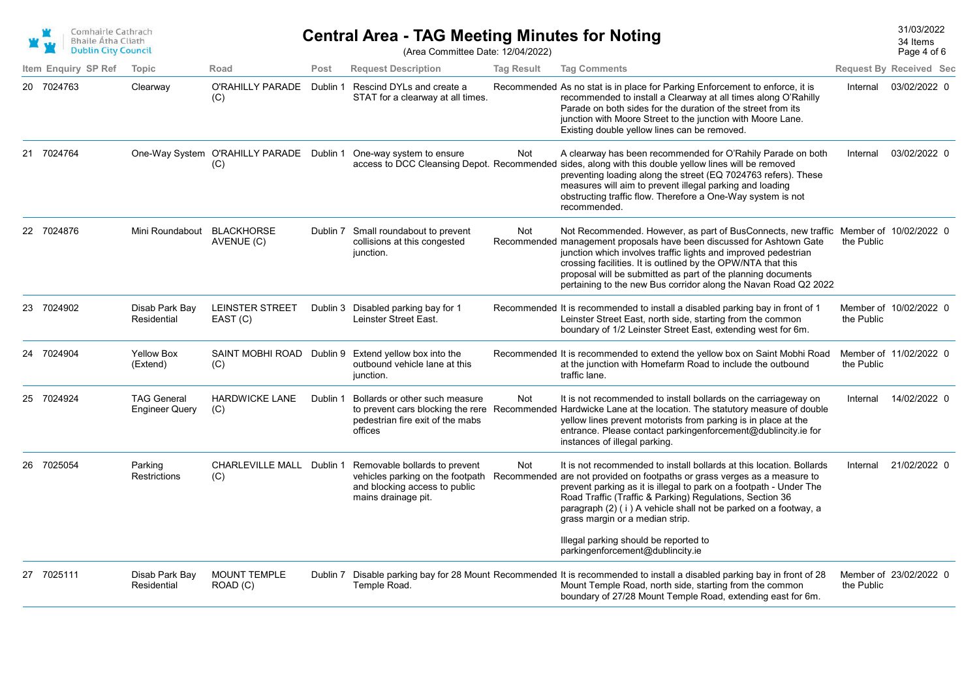| Comhairle Cathrach                                      |
|---------------------------------------------------------|
| <b>Bhaile Atha Cliath</b><br><b>Dublin City Council</b> |
|                                                         |

## 31/03/2022 **Central Area - TAG Meeting Minutes for Noting** (Area Committee Date: 12/04/2022)

34 Items

Page 4 of 6

| Item Enguiry SP Ref<br>Topic<br>Post<br><b>Request Description</b><br><b>Tag Result</b><br><b>Tag Comments</b><br>Road<br>O'RAHILLY PARADE<br>Rescind DYLs and create a<br>20 7024763<br>Clearway<br>Dublin 1<br>Recommended As no stat is in place for Parking Enforcement to enforce, it is<br>recommended to install a Clearway at all times along O'Rahilly<br>STAT for a clearway at all times.<br>(C)<br>Parade on both sides for the duration of the street from its<br>junction with Moore Street to the junction with Moore Lane.<br>Existing double yellow lines can be removed.<br>21 7024764<br>One-Way System O'RAHILLY PARADE Dublin 1 One-way system to ensure<br>Not<br>A clearway has been recommended for O'Rahily Parade on both<br>access to DCC Cleansing Depot. Recommended sides, along with this double yellow lines will be removed<br>(C)<br>preventing loading along the street (EQ 7024763 refers). These<br>measures will aim to prevent illegal parking and loading<br>obstructing traffic flow. Therefore a One-Way system is not<br>recommended.<br>22 7024876<br>Mini Roundabout BLACKHORSE<br>Dublin 7 Small roundabout to prevent<br>Not Recommended. However, as part of BusConnects, new traffic Member of 10/02/2022 0<br>Not<br>collisions at this congested<br>Recommended management proposals have been discussed for Ashtown Gate<br>AVENUE (C)<br>junction which involves traffic lights and improved pedestrian<br>junction.<br>crossing facilities. It is outlined by the OPW/NTA that this<br>proposal will be submitted as part of the planning documents<br>pertaining to the new Bus corridor along the Navan Road Q2 2022.<br>23 7024902<br>Disab Park Bay<br>LEINSTER STREET<br>Dublin 3 Disabled parking bay for 1<br>Recommended It is recommended to install a disabled parking bay in front of 1<br>Leinster Street East, north side, starting from the common<br>Residential<br>EAST (C)<br>Leinster Street East.<br>boundary of 1/2 Leinster Street East, extending west for 6m.<br>24 7024904<br><b>Yellow Box</b><br>SAINT MOBHI ROAD Dublin 9<br>Extend yellow box into the<br>Recommended It is recommended to extend the yellow box on Saint Mobhi Road | <b>Request By Received Sec</b>       |
|------------------------------------------------------------------------------------------------------------------------------------------------------------------------------------------------------------------------------------------------------------------------------------------------------------------------------------------------------------------------------------------------------------------------------------------------------------------------------------------------------------------------------------------------------------------------------------------------------------------------------------------------------------------------------------------------------------------------------------------------------------------------------------------------------------------------------------------------------------------------------------------------------------------------------------------------------------------------------------------------------------------------------------------------------------------------------------------------------------------------------------------------------------------------------------------------------------------------------------------------------------------------------------------------------------------------------------------------------------------------------------------------------------------------------------------------------------------------------------------------------------------------------------------------------------------------------------------------------------------------------------------------------------------------------------------------------------------------------------------------------------------------------------------------------------------------------------------------------------------------------------------------------------------------------------------------------------------------------------------------------------------------------------------------------------------------------------------------------------------------------------------------------------------------------------------------------------------------|--------------------------------------|
|                                                                                                                                                                                                                                                                                                                                                                                                                                                                                                                                                                                                                                                                                                                                                                                                                                                                                                                                                                                                                                                                                                                                                                                                                                                                                                                                                                                                                                                                                                                                                                                                                                                                                                                                                                                                                                                                                                                                                                                                                                                                                                                                                                                                                        |                                      |
|                                                                                                                                                                                                                                                                                                                                                                                                                                                                                                                                                                                                                                                                                                                                                                                                                                                                                                                                                                                                                                                                                                                                                                                                                                                                                                                                                                                                                                                                                                                                                                                                                                                                                                                                                                                                                                                                                                                                                                                                                                                                                                                                                                                                                        | 03/02/2022 0<br>Internal             |
|                                                                                                                                                                                                                                                                                                                                                                                                                                                                                                                                                                                                                                                                                                                                                                                                                                                                                                                                                                                                                                                                                                                                                                                                                                                                                                                                                                                                                                                                                                                                                                                                                                                                                                                                                                                                                                                                                                                                                                                                                                                                                                                                                                                                                        | 03/02/2022 0<br>Internal             |
|                                                                                                                                                                                                                                                                                                                                                                                                                                                                                                                                                                                                                                                                                                                                                                                                                                                                                                                                                                                                                                                                                                                                                                                                                                                                                                                                                                                                                                                                                                                                                                                                                                                                                                                                                                                                                                                                                                                                                                                                                                                                                                                                                                                                                        | the Public                           |
|                                                                                                                                                                                                                                                                                                                                                                                                                                                                                                                                                                                                                                                                                                                                                                                                                                                                                                                                                                                                                                                                                                                                                                                                                                                                                                                                                                                                                                                                                                                                                                                                                                                                                                                                                                                                                                                                                                                                                                                                                                                                                                                                                                                                                        | Member of 10/02/2022 0<br>the Public |
| at the junction with Homefarm Road to include the outbound<br>outbound vehicle lane at this<br>(Extend)<br>(C)<br>junction.<br>traffic lane.                                                                                                                                                                                                                                                                                                                                                                                                                                                                                                                                                                                                                                                                                                                                                                                                                                                                                                                                                                                                                                                                                                                                                                                                                                                                                                                                                                                                                                                                                                                                                                                                                                                                                                                                                                                                                                                                                                                                                                                                                                                                           | Member of 11/02/2022 0<br>the Public |
| 25 7024924<br><b>TAG General</b><br><b>HARDWICKE LANE</b><br>It is not recommended to install bollards on the carriageway on<br>Dublin 1<br>Bollards or other such measure<br>Not<br>to prevent cars blocking the rere Recommended Hardwicke Lane at the location. The statutory measure of double<br><b>Engineer Query</b><br>(C)<br>pedestrian fire exit of the mabs<br>yellow lines prevent motorists from parking is in place at the<br>entrance. Please contact parkingenforcement@dublincity.ie for<br>offices<br>instances of illegal parking.                                                                                                                                                                                                                                                                                                                                                                                                                                                                                                                                                                                                                                                                                                                                                                                                                                                                                                                                                                                                                                                                                                                                                                                                                                                                                                                                                                                                                                                                                                                                                                                                                                                                  | 14/02/2022 0<br>Internal             |
| 26 7025054<br>CHARLEVILLE MALL Dublin 1<br>It is not recommended to install bollards at this location. Bollards<br>Parking<br>Removable bollards to prevent<br>Not<br>vehicles parking on the footpath<br>Restrictions<br>Recommended are not provided on footpaths or grass verges as a measure to<br>(C)<br>and blocking access to public<br>prevent parking as it is illegal to park on a footpath - Under The<br>Road Traffic (Traffic & Parking) Regulations, Section 36<br>mains drainage pit.<br>paragraph (2) (i) A vehicle shall not be parked on a footway, a<br>grass margin or a median strip.<br>Illegal parking should be reported to                                                                                                                                                                                                                                                                                                                                                                                                                                                                                                                                                                                                                                                                                                                                                                                                                                                                                                                                                                                                                                                                                                                                                                                                                                                                                                                                                                                                                                                                                                                                                                    | 21/02/2022 0<br>Internal             |
| parkingenforcement@dublincity.ie                                                                                                                                                                                                                                                                                                                                                                                                                                                                                                                                                                                                                                                                                                                                                                                                                                                                                                                                                                                                                                                                                                                                                                                                                                                                                                                                                                                                                                                                                                                                                                                                                                                                                                                                                                                                                                                                                                                                                                                                                                                                                                                                                                                       |                                      |
| 27 7025111<br><b>MOUNT TEMPLE</b><br>Disable parking bay for 28 Mount Recommended It is recommended to install a disabled parking bay in front of 28<br>Disab Park Bay<br>Dublin 7<br>Residential<br>ROAD (C)<br>Temple Road.<br>Mount Temple Road, north side, starting from the common<br>boundary of 27/28 Mount Temple Road, extending east for 6m.                                                                                                                                                                                                                                                                                                                                                                                                                                                                                                                                                                                                                                                                                                                                                                                                                                                                                                                                                                                                                                                                                                                                                                                                                                                                                                                                                                                                                                                                                                                                                                                                                                                                                                                                                                                                                                                                | Member of 23/02/2022 0<br>the Public |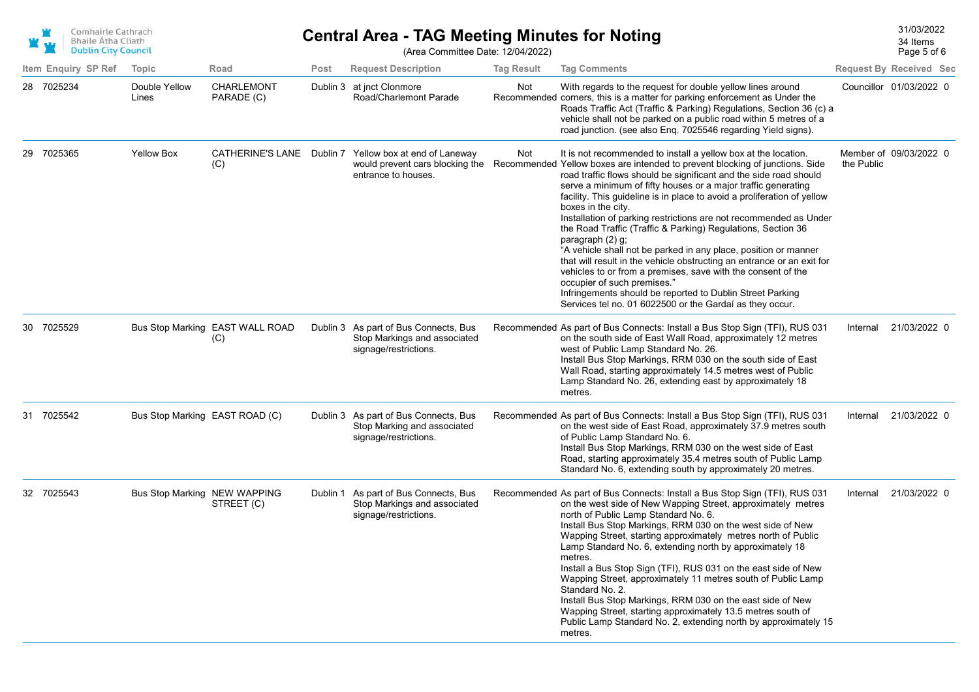| Comhairle Cathrach<br><b>Bhaile Atha Cliath</b><br><b>Dublin City Council</b> |                     |                                |                                        | <b>Central Area - TAG Meeting Minutes for Noting</b><br>(Area Committee Date: 12/04/2022) |                                                                                                                  |                   |                                                                                                                                                                                                                                                                                                                                                                                                                                                                                                                                                                                                                                                                                                                                                                                                                                                                                                                     |            | 31/03/2022<br>34 Items<br>Page 5 of 6 |
|-------------------------------------------------------------------------------|---------------------|--------------------------------|----------------------------------------|-------------------------------------------------------------------------------------------|------------------------------------------------------------------------------------------------------------------|-------------------|---------------------------------------------------------------------------------------------------------------------------------------------------------------------------------------------------------------------------------------------------------------------------------------------------------------------------------------------------------------------------------------------------------------------------------------------------------------------------------------------------------------------------------------------------------------------------------------------------------------------------------------------------------------------------------------------------------------------------------------------------------------------------------------------------------------------------------------------------------------------------------------------------------------------|------------|---------------------------------------|
|                                                                               | Item Enquiry SP Ref | Topic                          | Road                                   | Post                                                                                      | <b>Request Description</b>                                                                                       | <b>Tag Result</b> | <b>Tag Comments</b>                                                                                                                                                                                                                                                                                                                                                                                                                                                                                                                                                                                                                                                                                                                                                                                                                                                                                                 |            | <b>Request By Received Sec</b>        |
| 28 7025234                                                                    |                     | Double Yellow<br>Lines         | CHARLEMONT<br>PARADE (C)               |                                                                                           | Dublin 3 at jnct Clonmore<br>Road/Charlemont Parade                                                              | Not               | With regards to the request for double yellow lines around<br>Recommended corners, this is a matter for parking enforcement as Under the<br>Roads Traffic Act (Traffic & Parking) Regulations, Section 36 (c) a<br>vehicle shall not be parked on a public road within 5 metres of a<br>road junction. (see also Enq. 7025546 regarding Yield signs).                                                                                                                                                                                                                                                                                                                                                                                                                                                                                                                                                               |            | Councillor 01/03/2022 0               |
| 29 7025365                                                                    |                     | <b>Yellow Box</b>              | (C)                                    |                                                                                           | CATHERINE'S LANE Dublin 7 Yellow box at end of Laneway<br>would prevent cars blocking the<br>entrance to houses. | Not               | It is not recommended to install a yellow box at the location.<br>Recommended Yellow boxes are intended to prevent blocking of junctions. Side<br>road traffic flows should be significant and the side road should<br>serve a minimum of fifty houses or a major traffic generating<br>facility. This guideline is in place to avoid a proliferation of yellow<br>boxes in the city.<br>Installation of parking restrictions are not recommended as Under<br>the Road Traffic (Traffic & Parking) Regulations, Section 36<br>paragraph (2) g;<br>"A vehicle shall not be parked in any place, position or manner<br>that will result in the vehicle obstructing an entrance or an exit for<br>vehicles to or from a premises, save with the consent of the<br>occupier of such premises."<br>Infringements should be reported to Dublin Street Parking<br>Services tel no. 01 6022500 or the Gardaí as they occur. | the Public | Member of 09/03/2022 0                |
| 30 7025529                                                                    |                     |                                | Bus Stop Marking EAST WALL ROAD<br>(C) |                                                                                           | Dublin 3 As part of Bus Connects, Bus<br>Stop Markings and associated<br>signage/restrictions.                   |                   | Recommended As part of Bus Connects: Install a Bus Stop Sign (TFI), RUS 031<br>on the south side of East Wall Road, approximately 12 metres<br>west of Public Lamp Standard No. 26.<br>Install Bus Stop Markings, RRM 030 on the south side of East<br>Wall Road, starting approximately 14.5 metres west of Public<br>Lamp Standard No. 26, extending east by approximately 18<br>metres.                                                                                                                                                                                                                                                                                                                                                                                                                                                                                                                          | Internal   | 21/03/2022 0                          |
| 31 7025542                                                                    |                     | Bus Stop Marking EAST ROAD (C) |                                        |                                                                                           | Dublin 3 As part of Bus Connects, Bus<br>Stop Marking and associated<br>signage/restrictions.                    |                   | Recommended As part of Bus Connects: Install a Bus Stop Sign (TFI), RUS 031<br>on the west side of East Road, approximately 37.9 metres south<br>of Public Lamp Standard No. 6.<br>Install Bus Stop Markings, RRM 030 on the west side of East<br>Road, starting approximately 35.4 metres south of Public Lamp<br>Standard No. 6, extending south by approximately 20 metres.                                                                                                                                                                                                                                                                                                                                                                                                                                                                                                                                      | Internal   | 21/03/2022 0                          |
| 32 7025543                                                                    |                     | Bus Stop Marking NEW WAPPING   | STREET (C)                             |                                                                                           | Dublin 1 As part of Bus Connects, Bus<br>Stop Markings and associated<br>signage/restrictions.                   |                   | Recommended As part of Bus Connects: Install a Bus Stop Sign (TFI), RUS 031<br>on the west side of New Wapping Street, approximately metres<br>north of Public Lamp Standard No. 6.<br>Install Bus Stop Markings, RRM 030 on the west side of New<br>Wapping Street, starting approximately metres north of Public<br>Lamp Standard No. 6, extending north by approximately 18<br>metres.<br>Install a Bus Stop Sign (TFI), RUS 031 on the east side of New<br>Wapping Street, approximately 11 metres south of Public Lamp<br>Standard No. 2.<br>Install Bus Stop Markings, RRM 030 on the east side of New<br>Wapping Street, starting approximately 13.5 metres south of<br>Public Lamp Standard No. 2, extending north by approximately 15<br>metres.                                                                                                                                                           | Internal   | 21/03/2022 0                          |